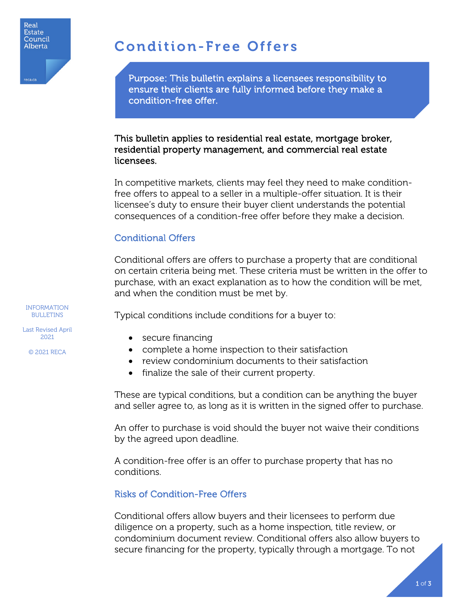

# Condition-Free Offers

Purpose: This bulletin explains a licensees responsibility to ensure their clients are fully informed before they make a condition-free offer.

#### This bulletin applies to residential real estate, mortgage broker, residential property management, and commercial real estate licensees.

In competitive markets, clients may feel they need to make conditionfree offers to appeal to a seller in a multiple-offer situation. It is their licensee's duty to ensure their buyer client understands the potential consequences of a condition-free offer before they make a decision.

## Conditional Offers

Conditional offers are offers to purchase a property that are conditional on certain criteria being met. These criteria must be written in the offer to purchase, with an exact explanation as to how the condition will be met, and when the condition must be met by.

Typical conditions include conditions for a buyer to:

- secure financing
- complete a home inspection to their satisfaction
- review condominium documents to their satisfaction
- finalize the sale of their current property.

These are typical conditions, but a condition can be anything the buyer and seller agree to, as long as it is written in the signed offer to purchase.

An offer to purchase is void should the buyer not waive their conditions by the agreed upon deadline.

A condition-free offer is an offer to purchase property that has no conditions.

## Risks of Condition-Free Offers

Conditional offers allow buyers and their licensees to perform due diligence on a property, such as a home inspection, title review, or condominium document review. Conditional offers also allow buyers to secure financing for the property, typically through a mortgage. To not

INFORMATION BULLETINS

Last Revised April 2021

© 2021 RECA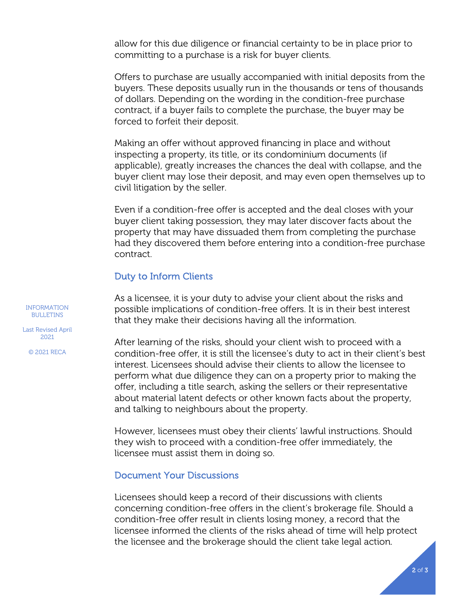allow for this due diligence or financial certainty to be in place prior to committing to a purchase is a risk for buyer clients.

Offers to purchase are usually accompanied with initial deposits from the buyers. These deposits usually run in the thousands or tens of thousands of dollars. Depending on the wording in the condition-free purchase contract, if a buyer fails to complete the purchase, the buyer may be forced to forfeit their deposit.

Making an offer without approved financing in place and without inspecting a property, its title, or its condominium documents (if applicable), greatly increases the chances the deal with collapse, and the buyer client may lose their deposit, and may even open themselves up to civil litigation by the seller.

Even if a condition-free offer is accepted and the deal closes with your buyer client taking possession, they may later discover facts about the property that may have dissuaded them from completing the purchase had they discovered them before entering into a condition-free purchase contract.

#### Duty to Inform Clients

As a licensee, it is your duty to advise your client about the risks and possible implications of condition-free offers. It is in their best interest that they make their decisions having all the information.

After learning of the risks, should your client wish to proceed with a condition-free offer, it is still the licensee's duty to act in their client's best interest. Licensees should advise their clients to allow the licensee to perform what due diligence they can on a property prior to making the offer, including a title search, asking the sellers or their representative about material latent defects or other known facts about the property, and talking to neighbours about the property.

However, licensees must obey their clients' lawful instructions. Should they wish to proceed with a condition-free offer immediately, the licensee must assist them in doing so.

#### Document Your Discussions

Licensees should keep a record of their discussions with clients concerning condition-free offers in the client's brokerage file. Should a condition-free offer result in clients losing money, a record that the licensee informed the clients of the risks ahead of time will help protect the licensee and the brokerage should the client take legal action.

INFORMATION BULLETINS

Last Revised April 2021

© 2021 RECA